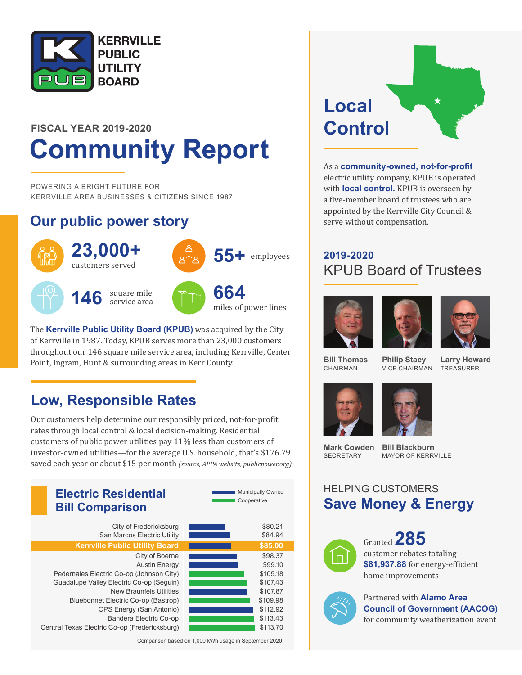

# **Community Report FISCAL YEAR 2019-2020**

POWERING A BRIGHT FUTURE FOR KERRVILLE AREA BUSINESSES & CITIZENS SINCE 1987

## **Our public power story**



The **Kerrville Public Utility Board (KPUB)** was acquired by the City of Kerrville in 1987. Today, KPUB serves more than 23,000 customers throughout our 146 square mile service area, including Kerrville, Center Point, Ingram, Hunt & surrounding areas in Kerr County.

## **Low, Responsible Rates**

Our customers help determine our responsibly priced, not-for-profit rates through local control & local decision-making. Residential customers of public power utilities pay 11% less than customers of investor-owned utilities—for the average U.S. household, that's \$176.79 saved each year or about \$15 per month *(source, APPA website, publicpower.org).*

| <b>Electric Residential</b>                   | <b>Municipally Owned</b> |
|-----------------------------------------------|--------------------------|
| <b>Bill Comparison</b>                        | Cooperative              |
| City of Fredericksburg                        | \$80.21                  |
| San Marcos Electric Utility                   | \$84.94                  |
| <b>Kerrville Public Utility Board</b>         | \$85.00                  |
| City of Boerne                                | \$98.37                  |
| <b>Austin Energy</b>                          | \$99.10                  |
| Pedernales Electric Co-op (Johnson City)      | \$105.18                 |
| Guadalupe Valley Electric Co-op (Seguin)      | \$107.43                 |
| <b>New Braunfels Utilities</b>                | \$107.87                 |
| Bluebonnet Electric Co-op (Bastrop)           | \$109.98                 |
| CPS Energy (San Antonio)                      | \$112.92                 |
| Bandera Electric Co-op                        | \$113.43                 |
| Central Texas Electric Co-op (Fredericksburg) | \$113.70                 |

Comparison based on 1,000 kWh usage in September 2020.

**Local Control**

As a **community-owned, not-for-profit** electric utility company, KPUB is operated with **local control.** KPUB is overseen by a five-member board of trustees who are appointed by the Kerrville City Council & serve without compensation.

### **2019-2020** KPUB Board of Trustees





**Bill Thomas** CHAIRMAN

**Philip Stacy** VICE CHAIRMAN **Larry Howard** TREASURER





**Mark Cowden SECRETARY** 

**Bill Blackburn** MAYOR OF KERRVILLE

### HELPING CUSTOMERS **Save Money & Energy**



Granted **285** customer rebates totaling **\$81,937.88** for energy-efficient home improvements



Partnered with **Alamo Area Council of Government (AACOG)** for community weatherization event